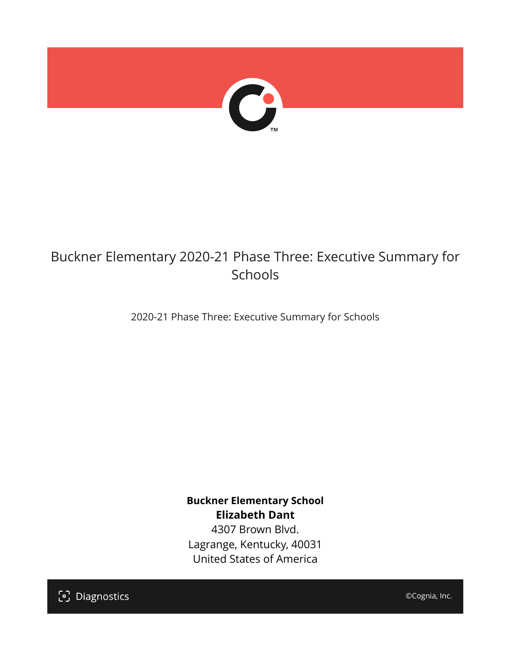

## Buckner Elementary 2020-21 Phase Three: Executive Summary for Schools

2020-21 Phase Three: Executive Summary for Schools

**Buckner Elementary School Elizabeth Dant** 4307 Brown Blvd.

Lagrange, Kentucky, 40031 United States of America

[၁] Diagnostics

©Cognia, Inc.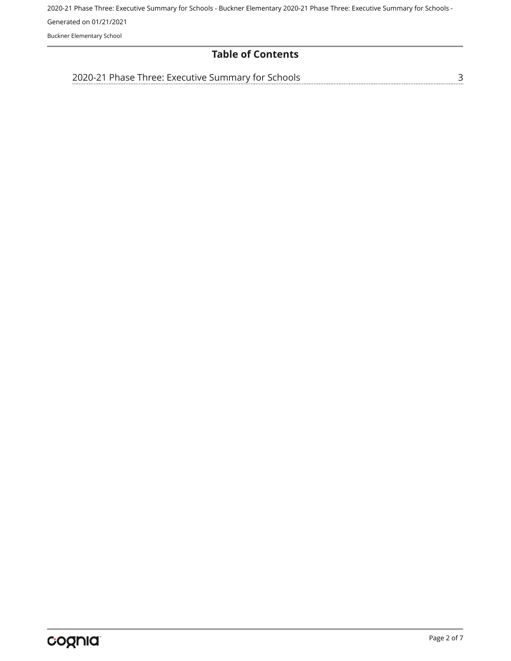2020-21 Phase Three: Executive Summary for Schools - Buckner Elementary 2020-21 Phase Three: Executive Summary for Schools - Generated on 01/21/2021 Buckner Elementary School

## **Table of Contents**

[3](#page-2-0)

[2020-21 Phase Three: Executive Summary for Schools](#page-2-0)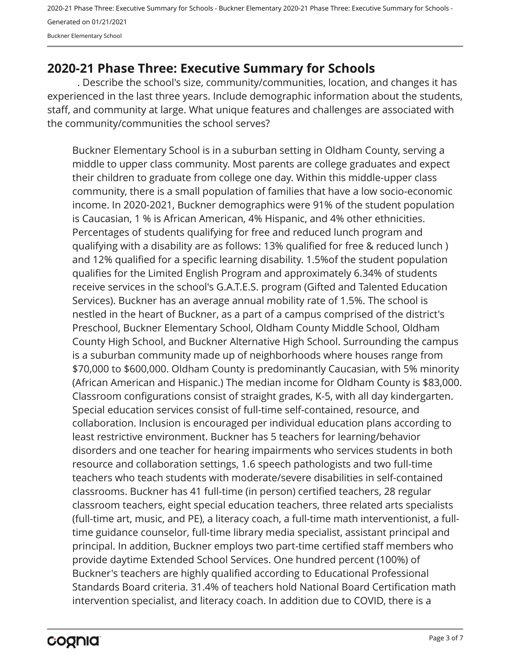2020-21 Phase Three: Executive Summary for Schools - Buckner Elementary 2020-21 Phase Three: Executive Summary for Schools - Generated on 01/21/2021 Buckner Elementary School

## <span id="page-2-0"></span>**2020-21 Phase Three: Executive Summary for Schools**

. Describe the school's size, community/communities, location, and changes it has experienced in the last three years. Include demographic information about the students, staff, and community at large. What unique features and challenges are associated with the community/communities the school serves?

Buckner Elementary School is in a suburban setting in Oldham County, serving a middle to upper class community. Most parents are college graduates and expect their children to graduate from college one day. Within this middle-upper class community, there is a small population of families that have a low socio-economic income. In 2020-2021, Buckner demographics were 91% of the student population is Caucasian, 1 % is African American, 4% Hispanic, and 4% other ethnicities. Percentages of students qualifying for free and reduced lunch program and qualifying with a disability are as follows: 13% qualified for free & reduced lunch ) and 12% qualified for a specific learning disability. 1.5%of the student population qualifies for the Limited English Program and approximately 6.34% of students receive services in the school's G.A.T.E.S. program (Gifted and Talented Education Services). Buckner has an average annual mobility rate of 1.5%. The school is nestled in the heart of Buckner, as a part of a campus comprised of the district's Preschool, Buckner Elementary School, Oldham County Middle School, Oldham County High School, and Buckner Alternative High School. Surrounding the campus is a suburban community made up of neighborhoods where houses range from \$70,000 to \$600,000. Oldham County is predominantly Caucasian, with 5% minority (African American and Hispanic.) The median income for Oldham County is \$83,000. Classroom configurations consist of straight grades, K-5, with all day kindergarten. Special education services consist of full-time self-contained, resource, and collaboration. Inclusion is encouraged per individual education plans according to least restrictive environment. Buckner has 5 teachers for learning/behavior disorders and one teacher for hearing impairments who services students in both resource and collaboration settings, 1.6 speech pathologists and two full-time teachers who teach students with moderate/severe disabilities in self-contained classrooms. Buckner has 41 full-time (in person) certified teachers, 28 regular classroom teachers, eight special education teachers, three related arts specialists (full-time art, music, and PE), a literacy coach, a full-time math interventionist, a fulltime guidance counselor, full-time library media specialist, assistant principal and principal. In addition, Buckner employs two part-time certified staff members who provide daytime Extended School Services. One hundred percent (100%) of Buckner's teachers are highly qualified according to Educational Professional Standards Board criteria. 31.4% of teachers hold National Board Certification math intervention specialist, and literacy coach. In addition due to COVID, there is a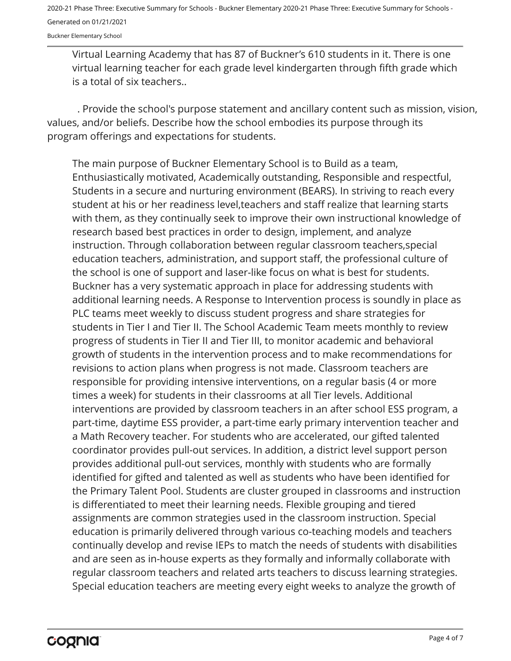2020-21 Phase Three: Executive Summary for Schools - Buckner Elementary 2020-21 Phase Three: Executive Summary for Schools - Generated on 01/21/2021

Buckner Elementary School

Virtual Learning Academy that has 87 of Buckner's 610 students in it. There is one virtual learning teacher for each grade level kindergarten through fifth grade which is a total of six teachers..

. Provide the school's purpose statement and ancillary content such as mission, vision, values, and/or beliefs. Describe how the school embodies its purpose through its program offerings and expectations for students.

The main purpose of Buckner Elementary School is to Build as a team, Enthusiastically motivated, Academically outstanding, Responsible and respectful, Students in a secure and nurturing environment (BEARS). In striving to reach every student at his or her readiness level,teachers and staff realize that learning starts with them, as they continually seek to improve their own instructional knowledge of research based best practices in order to design, implement, and analyze instruction. Through collaboration between regular classroom teachers,special education teachers, administration, and support staff, the professional culture of the school is one of support and laser-like focus on what is best for students. Buckner has a very systematic approach in place for addressing students with additional learning needs. A Response to Intervention process is soundly in place as PLC teams meet weekly to discuss student progress and share strategies for students in Tier I and Tier II. The School Academic Team meets monthly to review progress of students in Tier II and Tier III, to monitor academic and behavioral growth of students in the intervention process and to make recommendations for revisions to action plans when progress is not made. Classroom teachers are responsible for providing intensive interventions, on a regular basis (4 or more times a week) for students in their classrooms at all Tier levels. Additional interventions are provided by classroom teachers in an after school ESS program, a part-time, daytime ESS provider, a part-time early primary intervention teacher and a Math Recovery teacher. For students who are accelerated, our gifted talented coordinator provides pull-out services. In addition, a district level support person provides additional pull-out services, monthly with students who are formally identified for gifted and talented as well as students who have been identified for the Primary Talent Pool. Students are cluster grouped in classrooms and instruction is differentiated to meet their learning needs. Flexible grouping and tiered assignments are common strategies used in the classroom instruction. Special education is primarily delivered through various co-teaching models and teachers continually develop and revise IEPs to match the needs of students with disabilities and are seen as in-house experts as they formally and informally collaborate with regular classroom teachers and related arts teachers to discuss learning strategies. Special education teachers are meeting every eight weeks to analyze the growth of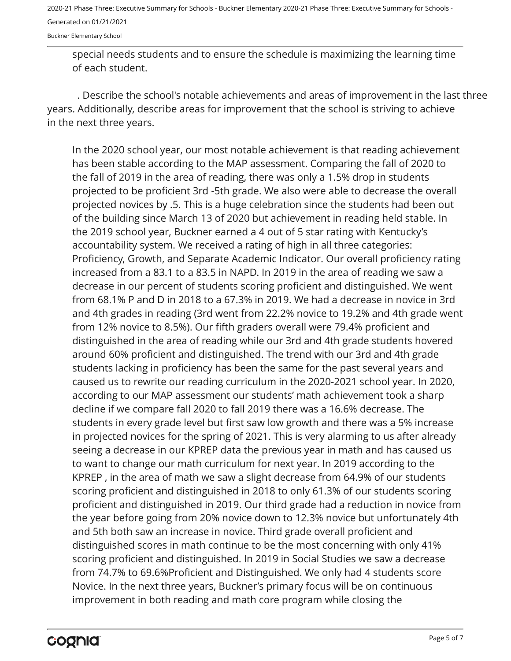2020-21 Phase Three: Executive Summary for Schools - Buckner Elementary 2020-21 Phase Three: Executive Summary for Schools - Generated on 01/21/2021

Buckner Elementary School

special needs students and to ensure the schedule is maximizing the learning time of each student.

. Describe the school's notable achievements and areas of improvement in the last three years. Additionally, describe areas for improvement that the school is striving to achieve in the next three years.

In the 2020 school year, our most notable achievement is that reading achievement has been stable according to the MAP assessment. Comparing the fall of 2020 to the fall of 2019 in the area of reading, there was only a 1.5% drop in students projected to be proficient 3rd -5th grade. We also were able to decrease the overall projected novices by .5. This is a huge celebration since the students had been out of the building since March 13 of 2020 but achievement in reading held stable. In the 2019 school year, Buckner earned a 4 out of 5 star rating with Kentucky's accountability system. We received a rating of high in all three categories: Proficiency, Growth, and Separate Academic Indicator. Our overall proficiency rating increased from a 83.1 to a 83.5 in NAPD. In 2019 in the area of reading we saw a decrease in our percent of students scoring proficient and distinguished. We went from 68.1% P and D in 2018 to a 67.3% in 2019. We had a decrease in novice in 3rd and 4th grades in reading (3rd went from 22.2% novice to 19.2% and 4th grade went from 12% novice to 8.5%). Our fifth graders overall were 79.4% proficient and distinguished in the area of reading while our 3rd and 4th grade students hovered around 60% proficient and distinguished. The trend with our 3rd and 4th grade students lacking in proficiency has been the same for the past several years and caused us to rewrite our reading curriculum in the 2020-2021 school year. In 2020, according to our MAP assessment our students' math achievement took a sharp decline if we compare fall 2020 to fall 2019 there was a 16.6% decrease. The students in every grade level but first saw low growth and there was a 5% increase in projected novices for the spring of 2021. This is very alarming to us after already seeing a decrease in our KPREP data the previous year in math and has caused us to want to change our math curriculum for next year. In 2019 according to the KPREP , in the area of math we saw a slight decrease from 64.9% of our students scoring proficient and distinguished in 2018 to only 61.3% of our students scoring proficient and distinguished in 2019. Our third grade had a reduction in novice from the year before going from 20% novice down to 12.3% novice but unfortunately 4th and 5th both saw an increase in novice. Third grade overall proficient and distinguished scores in math continue to be the most concerning with only 41% scoring proficient and distinguished. In 2019 in Social Studies we saw a decrease from 74.7% to 69.6%Proficient and Distinguished. We only had 4 students score Novice. In the next three years, Buckner's primary focus will be on continuous improvement in both reading and math core program while closing the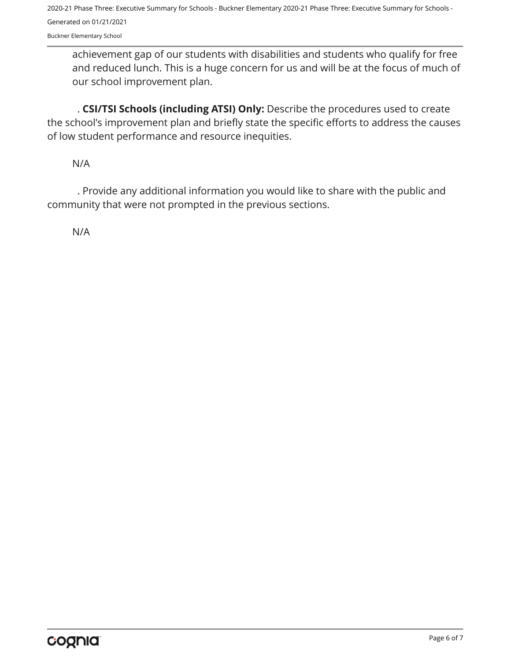2020-21 Phase Three: Executive Summary for Schools - Buckner Elementary 2020-21 Phase Three: Executive Summary for Schools - Generated on 01/21/2021

Buckner Elementary School

achievement gap of our students with disabilities and students who qualify for free and reduced lunch. This is a huge concern for us and will be at the focus of much of our school improvement plan.

. **CSI/TSI Schools (including ATSI) Only:** Describe the procedures used to create the school's improvement plan and briefly state the specific efforts to address the causes of low student performance and resource inequities.

N/A

. Provide any additional information you would like to share with the public and community that were not prompted in the previous sections.

N/A